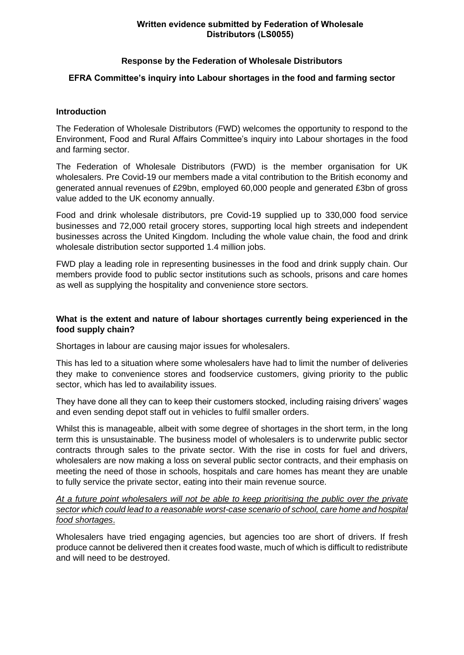#### **Written evidence submitted by Federation of Wholesale Distributors (LS0055)**

### **Response by the Federation of Wholesale Distributors**

## **EFRA Committee's inquiry into Labour shortages in the food and farming sector**

### **Introduction**

The Federation of Wholesale Distributors (FWD) welcomes the opportunity to respond to the Environment, Food and Rural Affairs Committee's inquiry into Labour shortages in the food and farming sector.

The Federation of Wholesale Distributors (FWD) is the member organisation for UK wholesalers. Pre Covid-19 our members made a vital contribution to the British economy and generated annual revenues of £29bn, employed 60,000 people and generated £3bn of gross value added to the UK economy annually.

Food and drink wholesale distributors, pre Covid-19 supplied up to 330,000 food service businesses and 72,000 retail grocery stores, supporting local high streets and independent businesses across the United Kingdom. Including the whole value chain, the food and drink wholesale distribution sector supported 1.4 million jobs.

FWD play a leading role in representing businesses in the food and drink supply chain. Our members provide food to public sector institutions such as schools, prisons and care homes as well as supplying the hospitality and convenience store sectors.

### **What is the extent and nature of labour shortages currently being experienced in the food supply chain?**

Shortages in labour are causing major issues for wholesalers.

This has led to a situation where some wholesalers have had to limit the number of deliveries they make to convenience stores and foodservice customers, giving priority to the public sector, which has led to availability issues.

They have done all they can to keep their customers stocked, including raising drivers' wages and even sending depot staff out in vehicles to fulfil smaller orders.

Whilst this is manageable, albeit with some degree of shortages in the short term, in the long term this is unsustainable. The business model of wholesalers is to underwrite public sector contracts through sales to the private sector. With the rise in costs for fuel and drivers, wholesalers are now making a loss on several public sector contracts, and their emphasis on meeting the need of those in schools, hospitals and care homes has meant they are unable to fully service the private sector, eating into their main revenue source.

*At a future point wholesalers will not be able to keep prioritising the public over the private sector which could lead to a reasonable worst-case scenario of school, care home and hospital food shortages*.

Wholesalers have tried engaging agencies, but agencies too are short of drivers. If fresh produce cannot be delivered then it creates food waste, much of which is difficult to redistribute and will need to be destroyed.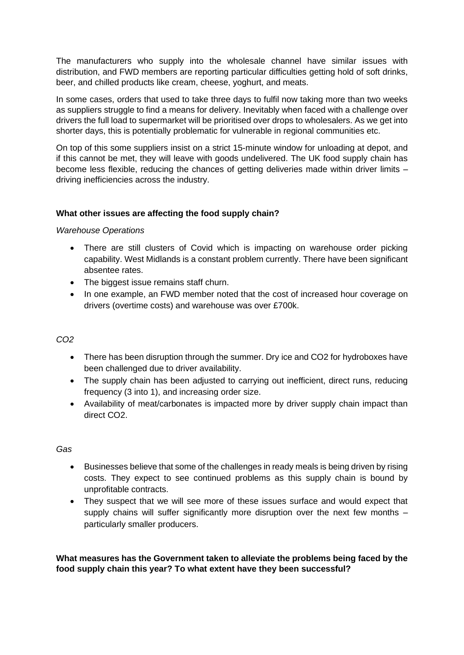The manufacturers who supply into the wholesale channel have similar issues with distribution, and FWD members are reporting particular difficulties getting hold of soft drinks, beer, and chilled products like cream, cheese, yoghurt, and meats.

In some cases, orders that used to take three days to fulfil now taking more than two weeks as suppliers struggle to find a means for delivery. Inevitably when faced with a challenge over drivers the full load to supermarket will be prioritised over drops to wholesalers. As we get into shorter days, this is potentially problematic for vulnerable in regional communities etc.

On top of this some suppliers insist on a strict 15-minute window for unloading at depot, and if this cannot be met, they will leave with goods undelivered. The UK food supply chain has become less flexible, reducing the chances of getting deliveries made within driver limits – driving inefficiencies across the industry.

# **What other issues are affecting the food supply chain?**

### *Warehouse Operations*

- There are still clusters of Covid which is impacting on warehouse order picking capability. West Midlands is a constant problem currently. There have been significant absentee rates.
- The biggest issue remains staff churn.
- In one example, an FWD member noted that the cost of increased hour coverage on drivers (overtime costs) and warehouse was over £700k.

# *CO2*

- There has been disruption through the summer. Dry ice and CO2 for hydroboxes have been challenged due to driver availability.
- The supply chain has been adjusted to carrying out inefficient, direct runs, reducing frequency (3 into 1), and increasing order size.
- Availability of meat/carbonates is impacted more by driver supply chain impact than direct CO2.

#### *Gas*

- Businesses believe that some of the challenges in ready meals is being driven by rising costs. They expect to see continued problems as this supply chain is bound by unprofitable contracts.
- They suspect that we will see more of these issues surface and would expect that supply chains will suffer significantly more disruption over the next few months particularly smaller producers.

**What measures has the Government taken to alleviate the problems being faced by the food supply chain this year? To what extent have they been successful?**